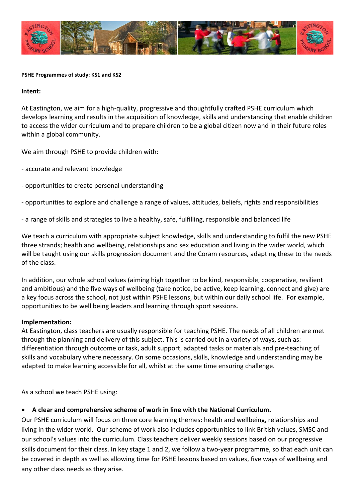

#### **PSHE Programmes of study: KS1 and KS2**

#### **Intent:**

At Eastington, we aim for a high-quality, progressive and thoughtfully crafted PSHE curriculum which develops learning and results in the acquisition of knowledge, skills and understanding that enable children to access the wider curriculum and to prepare children to be a global citizen now and in their future roles within a global community.

We aim through PSHE to provide children with:

- accurate and relevant knowledge
- opportunities to create personal understanding
- opportunities to explore and challenge a range of values, attitudes, beliefs, rights and responsibilities
- a range of skills and strategies to live a healthy, safe, fulfilling, responsible and balanced life

We teach a curriculum with appropriate subject knowledge, skills and understanding to fulfil the new PSHE three strands; health and wellbeing, relationships and sex education and living in the wider world, which will be taught using our skills progression document and the Coram resources, adapting these to the needs of the class.

In addition, our whole school values (aiming high together to be kind, responsible, cooperative, resilient and ambitious) and the five ways of wellbeing (take notice, be active, keep learning, connect and give) are a key focus across the school, not just within PSHE lessons, but within our daily school life. For example, opportunities to be well being leaders and learning through sport sessions.

#### **Implementation:**

At Eastington, class teachers are usually responsible for teaching PSHE. The needs of all children are met through the planning and delivery of this subject. This is carried out in a variety of ways, such as: differentiation through outcome or task, adult support, adapted tasks or materials and pre-teaching of skills and vocabulary where necessary. On some occasions, skills, knowledge and understanding may be adapted to make learning accessible for all, whilst at the same time ensuring challenge.

As a school we teach PSHE using:

#### • **A clear and comprehensive scheme of work in line with the National Curriculum.**

Our PSHE curriculum will focus on three core learning themes: health and wellbeing, relationships and living in the wider world. Our scheme of work also includes opportunities to link British values, SMSC and our school's values into the curriculum. Class teachers deliver weekly sessions based on our progressive skills document for their class. In key stage 1 and 2, we follow a two-year programme, so that each unit can be covered in depth as well as allowing time for PSHE lessons based on values, five ways of wellbeing and any other class needs as they arise.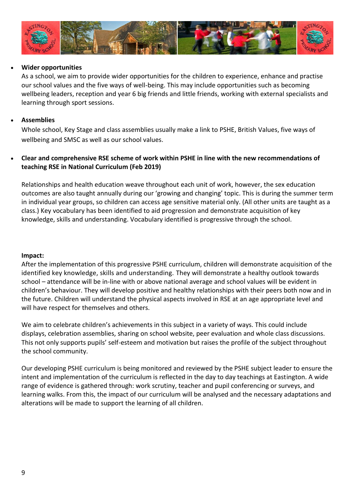

## • **Wider opportunities**

As a school, we aim to provide wider opportunities for the children to experience, enhance and practise our school values and the five ways of well-being. This may include opportunities such as becoming wellbeing leaders, reception and year 6 big friends and little friends, working with external specialists and learning through sport sessions.

### • **Assemblies**

Whole school, Key Stage and class assemblies usually make a link to PSHE, British Values, five ways of wellbeing and SMSC as well as our school values.

# • **Clear and comprehensive RSE scheme of work within PSHE in line with the new recommendations of teaching RSE in National Curriculum (Feb 2019)**

Relationships and health education weave throughout each unit of work, however, the sex education outcomes are also taught annually during our 'growing and changing' topic. This is during the summer term in individual year groups, so children can access age sensitive material only. (All other units are taught as a class.) Key vocabulary has been identified to aid progression and demonstrate acquisition of key knowledge, skills and understanding. Vocabulary identified is progressive through the school.

#### **Impact:**

After the implementation of this progressive PSHE curriculum, children will demonstrate acquisition of the identified key knowledge, skills and understanding. They will demonstrate a healthy outlook towards school – attendance will be in-line with or above national average and school values will be evident in children's behaviour. They will develop positive and healthy relationships with their peers both now and in the future. Children will understand the physical aspects involved in RSE at an age appropriate level and will have respect for themselves and others.

We aim to celebrate children's achievements in this subject in a variety of ways. This could include displays, celebration assemblies, sharing on school website, peer evaluation and whole class discussions. This not only supports pupils' self-esteem and motivation but raises the profile of the subject throughout the school community.

Our developing PSHE curriculum is being monitored and reviewed by the PSHE subject leader to ensure the intent and implementation of the curriculum is reflected in the day to day teachings at Eastington. A wide range of evidence is gathered through: work scrutiny, teacher and pupil conferencing or surveys, and learning walks. From this, the impact of our curriculum will be analysed and the necessary adaptations and alterations will be made to support the learning of all children.